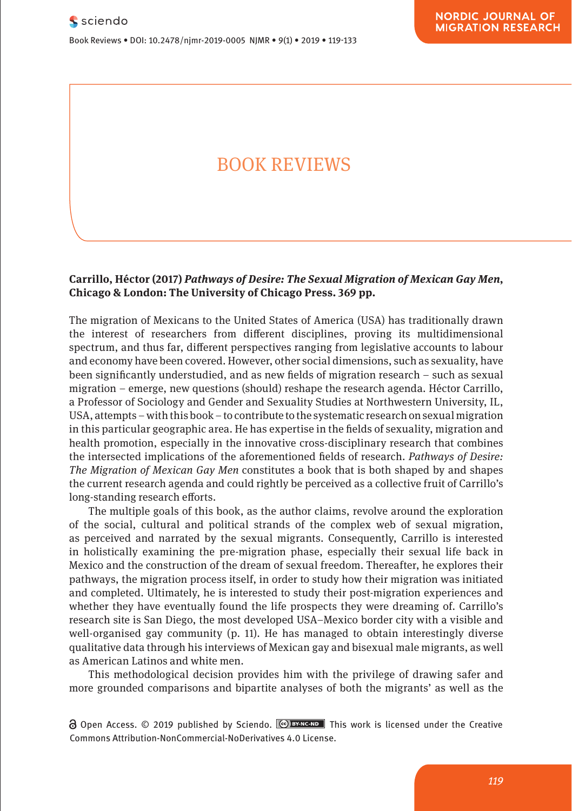**The First Decade (1964-1972)**

Max Musterman, Paul Placeholder

**Neuroenhancement?**

Research Article

**Comparison**

Journal xyz 2017; 1 (2): 122–135

Road Keelung 20224, Taiwan (R.O.C), e-mail: email@mail.com

Book Reviews • DOI: 10.2478/njmr-2019-0005 NJMR • 9(1) • 2019 • 119-133

Was ist so anders am Neuroenhancement?

**Pharmacological and Mental Self-transformation in Ethic** 

# BOOK REVIEWS **What Is So Different About**

#### **Carrillo, Héctor (2017)** *Pathways of Desire: The Sexual Migration of Mexican Gay Men***,**  Pharmakologische und mentale Selbstveränderung im **Chicago & London: The University of Chicago Press. 369 pp.** ethischen Vergleich vergleich vergleich vergleich vergleich vergleich vergleich vergleich vergleich vergleich<br>Vergleich vergleich vergleich vergleich vergleich vergleich vergleich vergleich vergleich vergleich vergleich<br>Ve

The migration of Mexicans to the United States of America (USA) has traditionally drawn the interest of researchers from different disciplines, proving its multidimensional spectrum, and thus far, different perspectives ranging from legislative accounts to labour and economy have been covered. However, other social dimensions, such as sexuality, have been significantly understudied, and as new fields of migration research - such as sexual migration – emerge, new questions (should) reshape the research agenda. Héctor Carrillo, a Professor of Sociology and Gender and Sexuality Studies at Northwestern University, IL, USA, attempts – with this book – to contribute to the systematic research on sexual migration in its current of the period between the presentation in its current of the period between the presentation in its current of th in this particular geographic area. He has expertise in the fields of sexuality, migration and In this particular geographic area. The individual experies in the health of sexuality, imgration and health promotion, especially in the innovative cross-disciplinary research that combines the intersected implications of the aforementioned fields of research. *Pathways of Desire: The Migration of Mexican Gay Men* constitutes a book that is both shaped by and shapes the current research agenda and could rightly be perceived as a collective fruit of Carrillo's long-standing research efforts.

The multiple goals of this book, as the author claims, revolve around the exploration of the social, cultural and political strands of the complex web of sexual migration, as perceived and narrated by the sexual migrants. Consequently, Carrillo is interested as perceived and narrated by the sexual inigrants. Consequently, Carrillo is interested<br>in holistically examining the pre-migration phase, especially their sexual life back in Mexico and the construction of the dream of sexual freedom. Thereafter, he explores their pathways, the migration process itself, in order to study how their migration was initiated and completed. Ultimately, he is interested to study their post-migration experiences and whether they have eventually found the life prospects they were dreaming of. Carrillo's whether they have eventually found the life prospects they were dreaming of. Carrillo's research site is San Diego, the most developed USA–Mexico border city with a visible and well-organised gay community (p. 11). He has managed to obtain interestingly diverse qualitative data through his interviews of Mexican gay and bisexual male migrants, as well as American Latinos and white men.

This methodological decision provides him with the privilege of drawing safer and more grounded comparisons and bipartite analyses of both the migrants' as well as the

**a** Open Access. © 2019 published by Sciendo. **CO BY-NC-ND** This work is licensed under the Creative Commons Attribution-NonCommercial-NoDerivatives 4.0 License.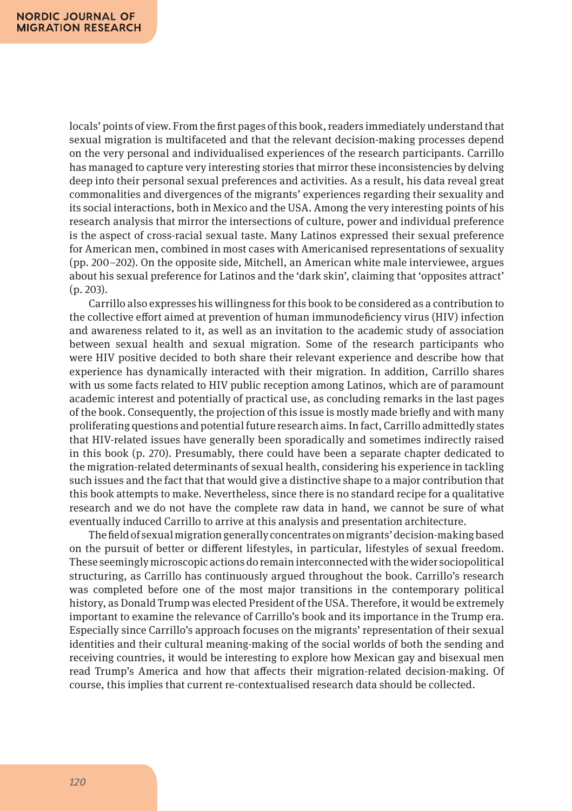locals' points of view. From the first pages of this book, readers immediately understand that sexual migration is multifaceted and that the relevant decision-making processes depend on the very personal and individualised experiences of the research participants. Carrillo has managed to capture very interesting stories that mirror these inconsistencies by delving deep into their personal sexual preferences and activities. As a result, his data reveal great commonalities and divergences of the migrants' experiences regarding their sexuality and its social interactions, both in Mexico and the USA. Among the very interesting points of his research analysis that mirror the intersections of culture, power and individual preference is the aspect of cross-racial sexual taste. Many Latinos expressed their sexual preference for American men, combined in most cases with Americanised representations of sexuality (pp. 200–202). On the opposite side, Mitchell, an American white male interviewee, argues about his sexual preference for Latinos and the 'dark skin', claiming that 'opposites attract' (p. 203).

Carrillo also expresses his willingness for this book to be considered as a contribution to the collective effort aimed at prevention of human immunodeficiency virus (HIV) infection and awareness related to it, as well as an invitation to the academic study of association between sexual health and sexual migration. Some of the research participants who were HIV positive decided to both share their relevant experience and describe how that experience has dynamically interacted with their migration. In addition, Carrillo shares with us some facts related to HIV public reception among Latinos, which are of paramount academic interest and potentially of practical use, as concluding remarks in the last pages of the book. Consequently, the projection of this issue is mostly made briefly and with many proliferating questions and potential future research aims. In fact, Carrillo admittedly states that HIV-related issues have generally been sporadically and sometimes indirectly raised in this book (p. 270). Presumably, there could have been a separate chapter dedicated to the migration-related determinants of sexual health, considering his experience in tackling such issues and the fact that that would give a distinctive shape to a major contribution that this book attempts to make. Nevertheless, since there is no standard recipe for a qualitative research and we do not have the complete raw data in hand, we cannot be sure of what eventually induced Carrillo to arrive at this analysis and presentation architecture.

The field of sexual migration generally concentrates on migrants' decision-making based on the pursuit of better or different lifestyles, in particular, lifestyles of sexual freedom. These seemingly microscopic actions do remain interconnected with the wider sociopolitical structuring, as Carrillo has continuously argued throughout the book. Carrillo's research was completed before one of the most major transitions in the contemporary political history, as Donald Trump was elected President of the USA. Therefore, it would be extremely important to examine the relevance of Carrillo's book and its importance in the Trump era. Especially since Carrillo's approach focuses on the migrants' representation of their sexual identities and their cultural meaning-making of the social worlds of both the sending and receiving countries, it would be interesting to explore how Mexican gay and bisexual men read Trump's America and how that affects their migration-related decision-making. Of course, this implies that current re-contextualised research data should be collected.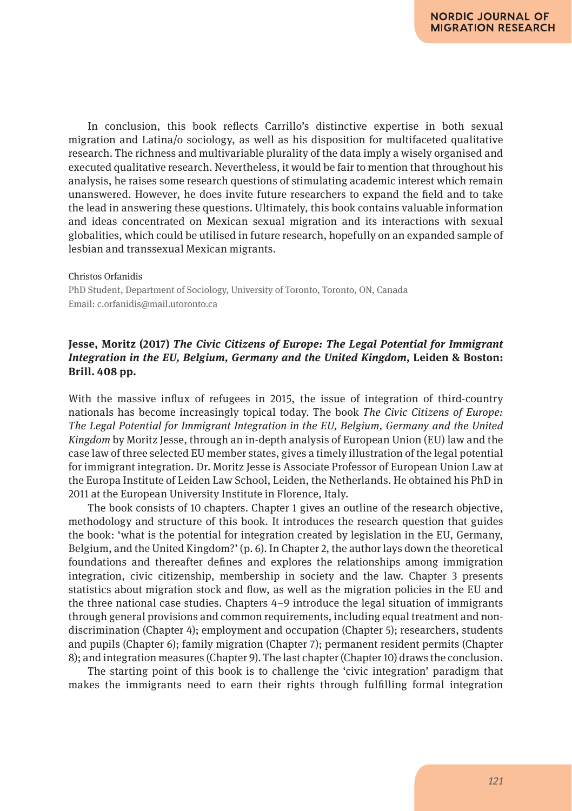In conclusion, this book reflects Carrillo's distinctive expertise in both sexual migration and Latina/o sociology, as well as his disposition for multifaceted qualitative research. The richness and multivariable plurality of the data imply a wisely organised and executed qualitative research. Nevertheless, it would be fair to mention that throughout his analysis, he raises some research questions of stimulating academic interest which remain unanswered. However, he does invite future researchers to expand the field and to take the lead in answering these questions. Ultimately, this book contains valuable information and ideas concentrated on Mexican sexual migration and its interactions with sexual globalities, which could be utilised in future research, hopefully on an expanded sample of lesbian and transsexual Mexican migrants.

#### Christos Orfanidis

PhD Student, Department of Sociology, University of Toronto, Toronto, ON, Canada Email: c.orfanidis@mail.utoronto.ca

## **Jesse, Moritz (2017)** *The Civic Citizens of Europe: The Legal Potential for Immigrant Integration in the EU, Belgium, Germany and the United Kingdom***, Leiden & Boston: Brill. 408 pp.**

With the massive influx of refugees in 2015, the issue of integration of third-country nationals has become increasingly topical today. The book *The Civic Citizens of Europe: The Legal Potential for Immigrant Integration in the EU, Belgium, Germany and the United Kingdom* by Moritz Jesse, through an in-depth analysis of European Union (EU) law and the case law of three selected EU member states, gives a timely illustration of the legal potential for immigrant integration. Dr. Moritz Jesse is Associate Professor of European Union Law at the Europa Institute of Leiden Law School, Leiden, the Netherlands. He obtained his PhD in 2011 at the European University Institute in Florence, Italy.

The book consists of 10 chapters. Chapter 1 gives an outline of the research objective, methodology and structure of this book. It introduces the research question that guides the book: 'what is the potential for integration created by legislation in the EU, Germany, Belgium, and the United Kingdom?' (p. 6). In Chapter 2, the author lays down the theoretical foundations and thereafter defines and explores the relationships among immigration integration, civic citizenship, membership in society and the law. Chapter 3 presents statistics about migration stock and flow, as well as the migration policies in the EU and the three national case studies. Chapters 4–9 introduce the legal situation of immigrants through general provisions and common requirements, including equal treatment and nondiscrimination (Chapter 4); employment and occupation (Chapter 5); researchers, students and pupils (Chapter 6); family migration (Chapter 7); permanent resident permits (Chapter 8); and integration measures (Chapter 9). The last chapter (Chapter 10) draws the conclusion.

The starting point of this book is to challenge the 'civic integration' paradigm that makes the immigrants need to earn their rights through fulfilling formal integration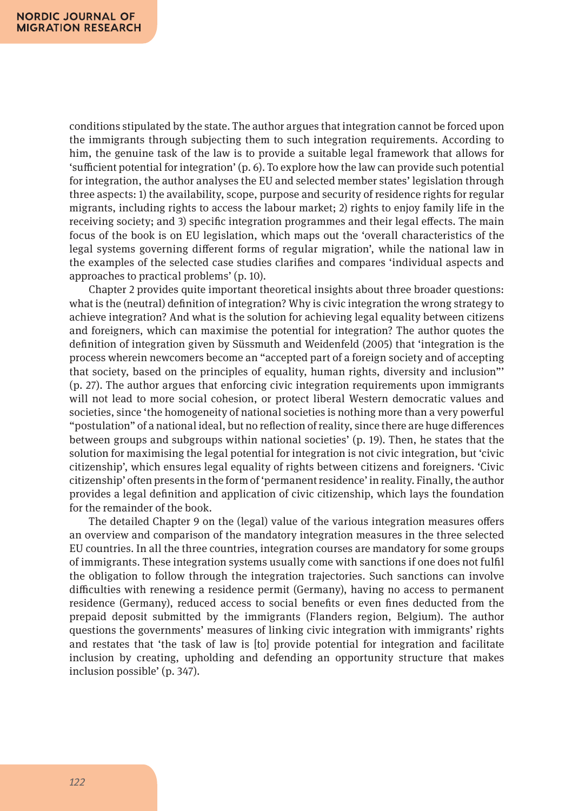conditions stipulated by the state. The author argues that integration cannot be forced upon the immigrants through subjecting them to such integration requirements. According to him, the genuine task of the law is to provide a suitable legal framework that allows for 'sufficient potential for integration' (p. 6). To explore how the law can provide such potential for integration, the author analyses the EU and selected member states' legislation through three aspects: 1) the availability, scope, purpose and security of residence rights for regular migrants, including rights to access the labour market; 2) rights to enjoy family life in the receiving society; and 3) specific integration programmes and their legal effects. The main focus of the book is on EU legislation, which maps out the 'overall characteristics of the legal systems governing different forms of regular migration', while the national law in the examples of the selected case studies clarifies and compares 'individual aspects and approaches to practical problems' (p. 10).

Chapter 2 provides quite important theoretical insights about three broader questions: what is the (neutral) definition of integration? Why is civic integration the wrong strategy to achieve integration? And what is the solution for achieving legal equality between citizens and foreigners, which can maximise the potential for integration? The author quotes the definition of integration given by Süssmuth and Weidenfeld (2005) that 'integration is the process wherein newcomers become an "accepted part of a foreign society and of accepting that society, based on the principles of equality, human rights, diversity and inclusion"' (p. 27). The author argues that enforcing civic integration requirements upon immigrants will not lead to more social cohesion, or protect liberal Western democratic values and societies, since 'the homogeneity of national societies is nothing more than a very powerful "postulation" of a national ideal, but no reflection of reality, since there are huge differences between groups and subgroups within national societies' (p. 19). Then, he states that the solution for maximising the legal potential for integration is not civic integration, but 'civic citizenship', which ensures legal equality of rights between citizens and foreigners. 'Civic citizenship' often presents in the form of 'permanent residence' in reality. Finally, the author provides a legal definition and application of civic citizenship, which lays the foundation for the remainder of the book.

The detailed Chapter 9 on the (legal) value of the various integration measures offers an overview and comparison of the mandatory integration measures in the three selected EU countries. In all the three countries, integration courses are mandatory for some groups of immigrants. These integration systems usually come with sanctions if one does not fulfil the obligation to follow through the integration trajectories. Such sanctions can involve difficulties with renewing a residence permit (Germany), having no access to permanent residence (Germany), reduced access to social benefits or even fines deducted from the prepaid deposit submitted by the immigrants (Flanders region, Belgium). The author questions the governments' measures of linking civic integration with immigrants' rights and restates that 'the task of law is [to] provide potential for integration and facilitate inclusion by creating, upholding and defending an opportunity structure that makes inclusion possible' (p. 347).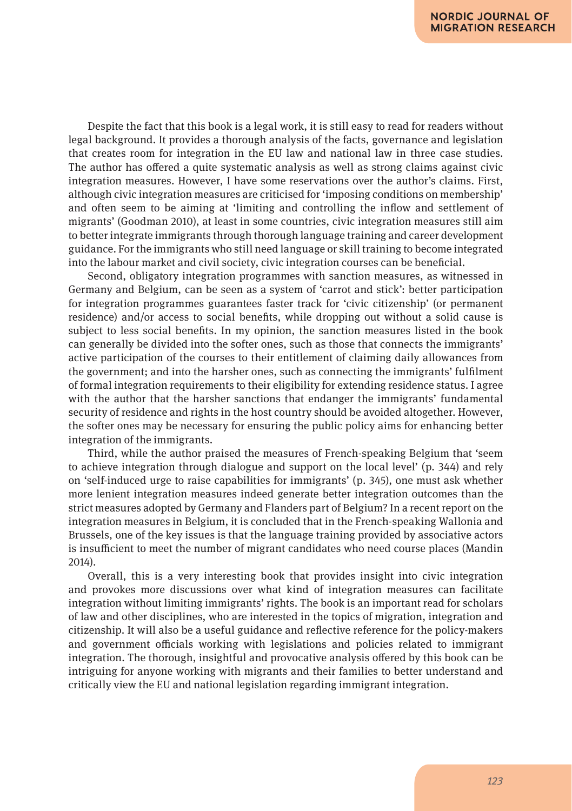Despite the fact that this book is a legal work, it is still easy to read for readers without legal background. It provides a thorough analysis of the facts, governance and legislation that creates room for integration in the EU law and national law in three case studies. The author has offered a quite systematic analysis as well as strong claims against civic integration measures. However, I have some reservations over the author's claims. First, although civic integration measures are criticised for 'imposing conditions on membership' and often seem to be aiming at 'limiting and controlling the inflow and settlement of migrants' (Goodman 2010), at least in some countries, civic integration measures still aim to better integrate immigrants through thorough language training and career development guidance. For the immigrants who still need language or skill training to become integrated into the labour market and civil society, civic integration courses can be beneficial.

Second, obligatory integration programmes with sanction measures, as witnessed in Germany and Belgium, can be seen as a system of 'carrot and stick': better participation for integration programmes guarantees faster track for 'civic citizenship' (or permanent residence) and/or access to social benefits, while dropping out without a solid cause is subject to less social benefits. In my opinion, the sanction measures listed in the book can generally be divided into the softer ones, such as those that connects the immigrants' active participation of the courses to their entitlement of claiming daily allowances from the government; and into the harsher ones, such as connecting the immigrants' fulfilment of formal integration requirements to their eligibility for extending residence status. I agree with the author that the harsher sanctions that endanger the immigrants' fundamental security of residence and rights in the host country should be avoided altogether. However, the softer ones may be necessary for ensuring the public policy aims for enhancing better integration of the immigrants.

Third, while the author praised the measures of French-speaking Belgium that 'seem to achieve integration through dialogue and support on the local level' (p. 344) and rely on 'self-induced urge to raise capabilities for immigrants' (p. 345), one must ask whether more lenient integration measures indeed generate better integration outcomes than the strict measures adopted by Germany and Flanders part of Belgium? In a recent report on the integration measures in Belgium, it is concluded that in the French-speaking Wallonia and Brussels, one of the key issues is that the language training provided by associative actors is insufficient to meet the number of migrant candidates who need course places (Mandin 2014).

Overall, this is a very interesting book that provides insight into civic integration and provokes more discussions over what kind of integration measures can facilitate integration without limiting immigrants' rights. The book is an important read for scholars of law and other disciplines, who are interested in the topics of migration, integration and citizenship. It will also be a useful guidance and reflective reference for the policy-makers and government officials working with legislations and policies related to immigrant integration. The thorough, insightful and provocative analysis offered by this book can be intriguing for anyone working with migrants and their families to better understand and critically view the EU and national legislation regarding immigrant integration.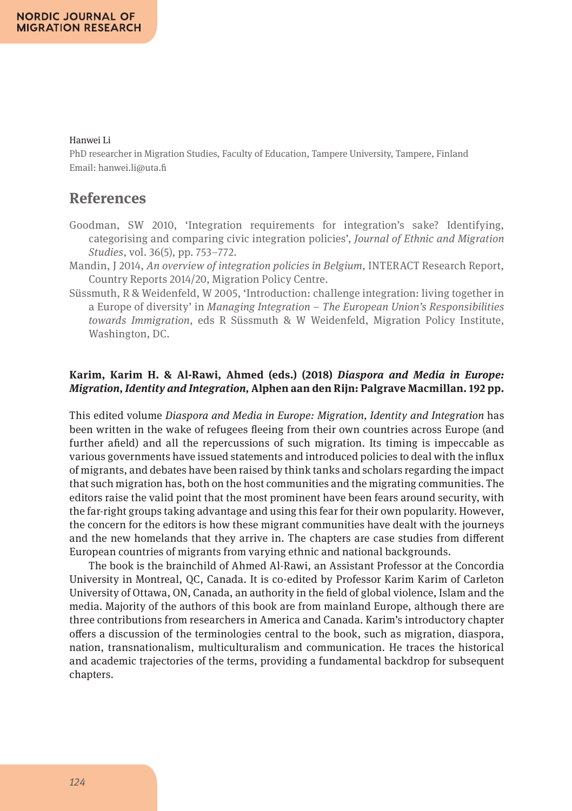## Hanwei Li

PhD researcher in Migration Studies, Faculty of Education, Tampere University, Tampere, Finland Email: hanwei.li@uta.fi

# **References**

- Goodman, SW 2010, 'Integration requirements for integration's sake? Identifying, categorising and comparing civic integration policies', *Journal of Ethnic and Migration Studies*, vol. 36(5), pp. 753–772.
- Mandin, J 2014, *An overview of integration policies in Belgium*, INTERACT Research Report, Country Reports 2014/20, Migration Policy Centre.
- Süssmuth, R & Weidenfeld, W 2005, 'Introduction: challenge integration: living together in a Europe of diversity' in *Managing Integration – The European Union's Responsibilities towards Immigration*, eds R Süssmuth & W Weidenfeld, Migration Policy Institute, Washington, DC.

## **Karim, Karim H. & Al-Rawi, Ahmed (eds.) (2018)** *Diaspora and Media in Europe: Migration, Identity and Integration,* **Alphen aan den Rijn: Palgrave Macmillan. 192 pp.**

This edited volume *Diaspora and Media in Europe: Migration, Identity and Integration* has been written in the wake of refugees fleeing from their own countries across Europe (and further afield) and all the repercussions of such migration. Its timing is impeccable as various governments have issued statements and introduced policies to deal with the influx of migrants, and debates have been raised by think tanks and scholars regarding the impact that such migration has, both on the host communities and the migrating communities. The editors raise the valid point that the most prominent have been fears around security, with the far-right groups taking advantage and using this fear for their own popularity. However, the concern for the editors is how these migrant communities have dealt with the journeys and the new homelands that they arrive in. The chapters are case studies from different European countries of migrants from varying ethnic and national backgrounds.

The book is the brainchild of Ahmed Al-Rawi, an Assistant Professor at the Concordia University in Montreal, QC, Canada. It is co-edited by Professor Karim Karim of Carleton University of Ottawa, ON, Canada, an authority in the field of global violence, Islam and the media. Majority of the authors of this book are from mainland Europe, although there are three contributions from researchers in America and Canada. Karim's introductory chapter offers a discussion of the terminologies central to the book, such as migration, diaspora, nation, transnationalism, multiculturalism and communication. He traces the historical and academic trajectories of the terms, providing a fundamental backdrop for subsequent chapters.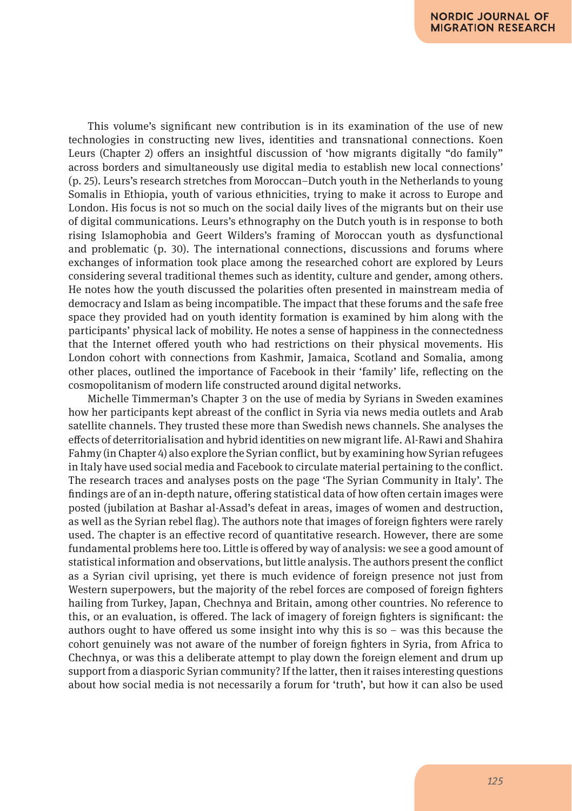This volume's significant new contribution is in its examination of the use of new technologies in constructing new lives, identities and transnational connections. Koen Leurs (Chapter 2) offers an insightful discussion of 'how migrants digitally "do family" across borders and simultaneously use digital media to establish new local connections' (p. 25). Leurs's research stretches from Moroccan–Dutch youth in the Netherlands to young Somalis in Ethiopia, youth of various ethnicities, trying to make it across to Europe and London. His focus is not so much on the social daily lives of the migrants but on their use of digital communications. Leurs's ethnography on the Dutch youth is in response to both rising Islamophobia and Geert Wilders's framing of Moroccan youth as dysfunctional and problematic (p. 30). The international connections, discussions and forums where exchanges of information took place among the researched cohort are explored by Leurs considering several traditional themes such as identity, culture and gender, among others. He notes how the youth discussed the polarities often presented in mainstream media of democracy and Islam as being incompatible. The impact that these forums and the safe free space they provided had on youth identity formation is examined by him along with the participants' physical lack of mobility. He notes a sense of happiness in the connectedness that the Internet offered youth who had restrictions on their physical movements. His London cohort with connections from Kashmir, Jamaica, Scotland and Somalia, among other places, outlined the importance of Facebook in their 'family' life, reflecting on the cosmopolitanism of modern life constructed around digital networks.

Michelle Timmerman's Chapter 3 on the use of media by Syrians in Sweden examines how her participants kept abreast of the conflict in Syria via news media outlets and Arab satellite channels. They trusted these more than Swedish news channels. She analyses the effects of deterritorialisation and hybrid identities on new migrant life. Al-Rawi and Shahira Fahmy (in Chapter 4) also explore the Syrian conflict, but by examining how Syrian refugees in Italy have used social media and Facebook to circulate material pertaining to the conflict. The research traces and analyses posts on the page 'The Syrian Community in Italy'. The findings are of an in-depth nature, offering statistical data of how often certain images were posted (jubilation at Bashar al-Assad's defeat in areas, images of women and destruction, as well as the Syrian rebel flag). The authors note that images of foreign fighters were rarely used. The chapter is an effective record of quantitative research. However, there are some fundamental problems here too. Little is offered by way of analysis: we see a good amount of statistical information and observations, but little analysis. The authors present the conflict as a Syrian civil uprising, yet there is much evidence of foreign presence not just from Western superpowers, but the majority of the rebel forces are composed of foreign fighters hailing from Turkey, Japan, Chechnya and Britain, among other countries. No reference to this, or an evaluation, is offered. The lack of imagery of foreign fighters is significant: the authors ought to have offered us some insight into why this is so – was this because the cohort genuinely was not aware of the number of foreign fighters in Syria, from Africa to Chechnya, or was this a deliberate attempt to play down the foreign element and drum up support from a diasporic Syrian community? If the latter, then it raises interesting questions about how social media is not necessarily a forum for 'truth', but how it can also be used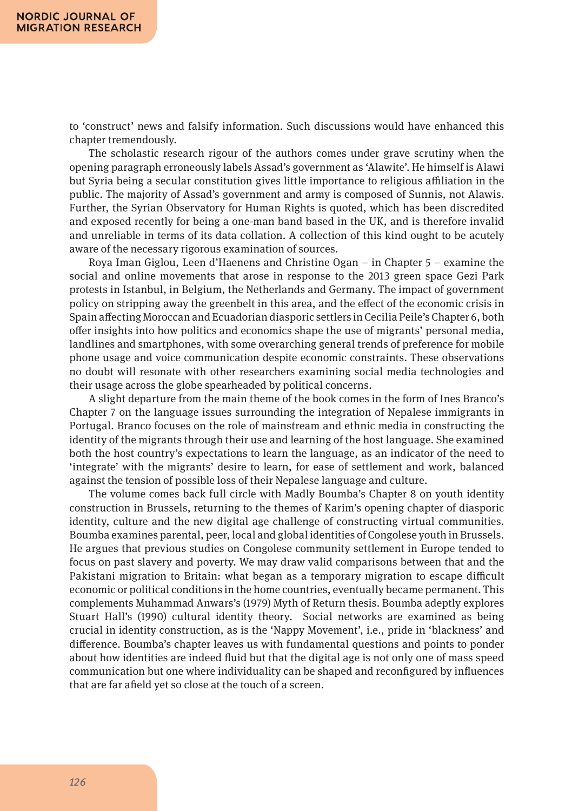to 'construct' news and falsify information. Such discussions would have enhanced this chapter tremendously.

The scholastic research rigour of the authors comes under grave scrutiny when the opening paragraph erroneously labels Assad's government as 'Alawite'. He himself is Alawi but Syria being a secular constitution gives little importance to religious affiliation in the public. The majority of Assad's government and army is composed of Sunnis, not Alawis. Further, the Syrian Observatory for Human Rights is quoted, which has been discredited and exposed recently for being a one-man band based in the UK, and is therefore invalid and unreliable in terms of its data collation. A collection of this kind ought to be acutely aware of the necessary rigorous examination of sources.

Roya Iman Giglou, Leen d'Haenens and Christine Ogan – in Chapter 5 – examine the social and online movements that arose in response to the 2013 green space Gezi Park protests in Istanbul, in Belgium, the Netherlands and Germany. The impact of government policy on stripping away the greenbelt in this area, and the effect of the economic crisis in Spain affecting Moroccan and Ecuadorian diasporic settlers in Cecilia Peile's Chapter 6, both offer insights into how politics and economics shape the use of migrants' personal media, landlines and smartphones, with some overarching general trends of preference for mobile phone usage and voice communication despite economic constraints. These observations no doubt will resonate with other researchers examining social media technologies and their usage across the globe spearheaded by political concerns.

A slight departure from the main theme of the book comes in the form of Ines Branco's Chapter 7 on the language issues surrounding the integration of Nepalese immigrants in Portugal. Branco focuses on the role of mainstream and ethnic media in constructing the identity of the migrants through their use and learning of the host language. She examined both the host country's expectations to learn the language, as an indicator of the need to 'integrate' with the migrants' desire to learn, for ease of settlement and work, balanced against the tension of possible loss of their Nepalese language and culture.

The volume comes back full circle with Madly Boumba's Chapter 8 on youth identity construction in Brussels, returning to the themes of Karim's opening chapter of diasporic identity, culture and the new digital age challenge of constructing virtual communities. Boumba examines parental, peer, local and global identities of Congolese youth in Brussels. He argues that previous studies on Congolese community settlement in Europe tended to focus on past slavery and poverty. We may draw valid comparisons between that and the Pakistani migration to Britain: what began as a temporary migration to escape difficult economic or political conditions in the home countries, eventually became permanent. This complements Muhammad Anwars's (1979) Myth of Return thesis. Boumba adeptly explores Stuart Hall's (1990) cultural identity theory. Social networks are examined as being crucial in identity construction, as is the 'Nappy Movement', i.e., pride in 'blackness' and difference. Boumba's chapter leaves us with fundamental questions and points to ponder about how identities are indeed fluid but that the digital age is not only one of mass speed communication but one where individuality can be shaped and reconfigured by influences that are far afield yet so close at the touch of a screen.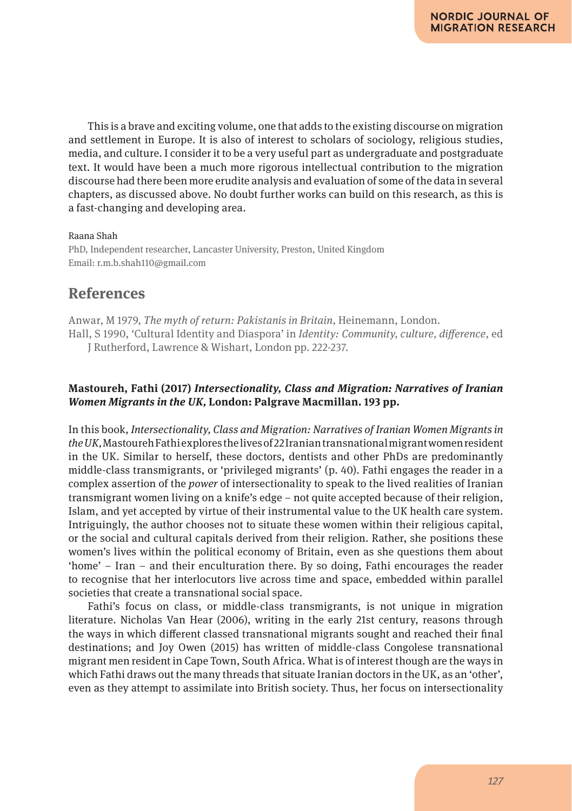This is a brave and exciting volume, one that adds to the existing discourse on migration and settlement in Europe. It is also of interest to scholars of sociology, religious studies, media, and culture. I consider it to be a very useful part as undergraduate and postgraduate text. It would have been a much more rigorous intellectual contribution to the migration discourse had there been more erudite analysis and evaluation of some of the data in several chapters, as discussed above. No doubt further works can build on this research, as this is a fast-changing and developing area.

#### Raana Shah

PhD, Independent researcher, Lancaster University, Preston, United Kingdom Email: r.m.b.shah110@gmail.com

# **References**

Anwar, M 1979, *The myth of return: Pakistanis in Britain*, Heinemann, London. Hall, S 1990, 'Cultural Identity and Diaspora' in *Identity: Community, culture, difference*, ed J Rutherford, Lawrence & Wishart, London pp. 222-237.

## **Mastoureh, Fathi (2017)** *Intersectionality, Class and Migration: Narratives of Iranian Women Migrants in the UK,* **London: Palgrave Macmillan. 193 pp.**

In this book, *Intersectionality, Class and Migration: Narratives of Iranian Women Migrants in the UK,* Mastoureh Fathi explores the lives of 22 Iranian transnational migrant women resident in the UK. Similar to herself, these doctors, dentists and other PhDs are predominantly middle-class transmigrants, or 'privileged migrants' (p. 40). Fathi engages the reader in a complex assertion of the *power* of intersectionality to speak to the lived realities of Iranian transmigrant women living on a knife's edge – not quite accepted because of their religion, Islam, and yet accepted by virtue of their instrumental value to the UK health care system. Intriguingly, the author chooses not to situate these women within their religious capital, or the social and cultural capitals derived from their religion. Rather, she positions these women's lives within the political economy of Britain, even as she questions them about 'home' – Iran – and their enculturation there. By so doing, Fathi encourages the reader to recognise that her interlocutors live across time and space, embedded within parallel societies that create a transnational social space.

Fathi's focus on class, or middle-class transmigrants, is not unique in migration literature. Nicholas Van Hear (2006), writing in the early 21st century, reasons through the ways in which different classed transnational migrants sought and reached their final destinations; and Joy Owen (2015) has written of middle-class Congolese transnational migrant men resident in Cape Town, South Africa. What is of interest though are the ways in which Fathi draws out the many threads that situate Iranian doctors in the UK, as an 'other', even as they attempt to assimilate into British society. Thus, her focus on intersectionality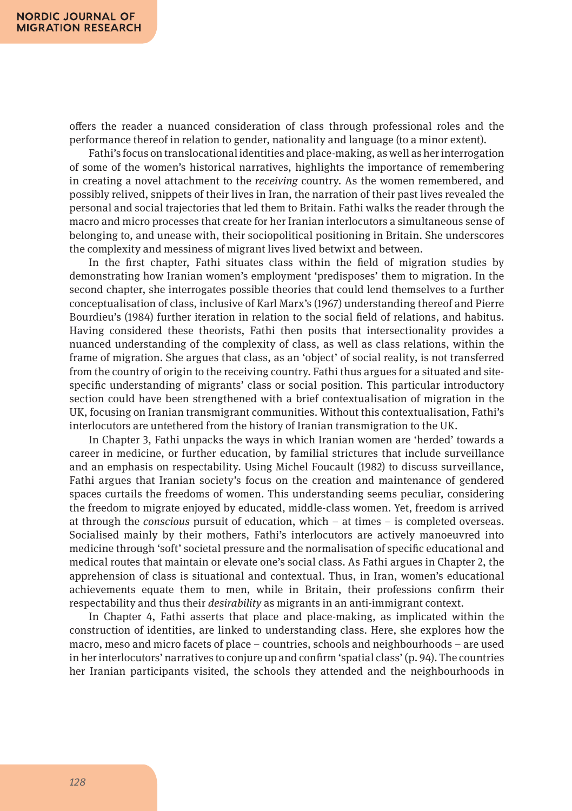offers the reader a nuanced consideration of class through professional roles and the performance thereof in relation to gender, nationality and language (to a minor extent).

Fathi's focus on translocational identities and place-making, as well as her interrogation of some of the women's historical narratives, highlights the importance of remembering in creating a novel attachment to the *receiving* country. As the women remembered, and possibly relived, snippets of their lives in Iran, the narration of their past lives revealed the personal and social trajectories that led them to Britain. Fathi walks the reader through the macro and micro processes that create for her Iranian interlocutors a simultaneous sense of belonging to, and unease with, their sociopolitical positioning in Britain. She underscores the complexity and messiness of migrant lives lived betwixt and between.

In the first chapter, Fathi situates class within the field of migration studies by demonstrating how Iranian women's employment 'predisposes' them to migration. In the second chapter, she interrogates possible theories that could lend themselves to a further conceptualisation of class, inclusive of Karl Marx's (1967) understanding thereof and Pierre Bourdieu's (1984) further iteration in relation to the social field of relations, and habitus. Having considered these theorists, Fathi then posits that intersectionality provides a nuanced understanding of the complexity of class, as well as class relations, within the frame of migration. She argues that class, as an 'object' of social reality, is not transferred from the country of origin to the receiving country. Fathi thus argues for a situated and sitespecific understanding of migrants' class or social position. This particular introductory section could have been strengthened with a brief contextualisation of migration in the UK, focusing on Iranian transmigrant communities. Without this contextualisation, Fathi's interlocutors are untethered from the history of Iranian transmigration to the UK.

In Chapter 3, Fathi unpacks the ways in which Iranian women are 'herded' towards a career in medicine, or further education, by familial strictures that include surveillance and an emphasis on respectability. Using Michel Foucault (1982) to discuss surveillance, Fathi argues that Iranian society's focus on the creation and maintenance of gendered spaces curtails the freedoms of women. This understanding seems peculiar, considering the freedom to migrate enjoyed by educated, middle-class women. Yet, freedom is arrived at through the *conscious* pursuit of education, which – at times – is completed overseas. Socialised mainly by their mothers, Fathi's interlocutors are actively manoeuvred into medicine through 'soft' societal pressure and the normalisation of specific educational and medical routes that maintain or elevate one's social class. As Fathi argues in Chapter 2, the apprehension of class is situational and contextual. Thus, in Iran, women's educational achievements equate them to men, while in Britain, their professions confirm their respectability and thus their *desirability* as migrants in an anti-immigrant context.

In Chapter 4, Fathi asserts that place and place-making, as implicated within the construction of identities, are linked to understanding class. Here, she explores how the macro, meso and micro facets of place – countries, schools and neighbourhoods – are used in her interlocutors' narratives to conjure up and confirm 'spatial class' (p. 94). The countries her Iranian participants visited, the schools they attended and the neighbourhoods in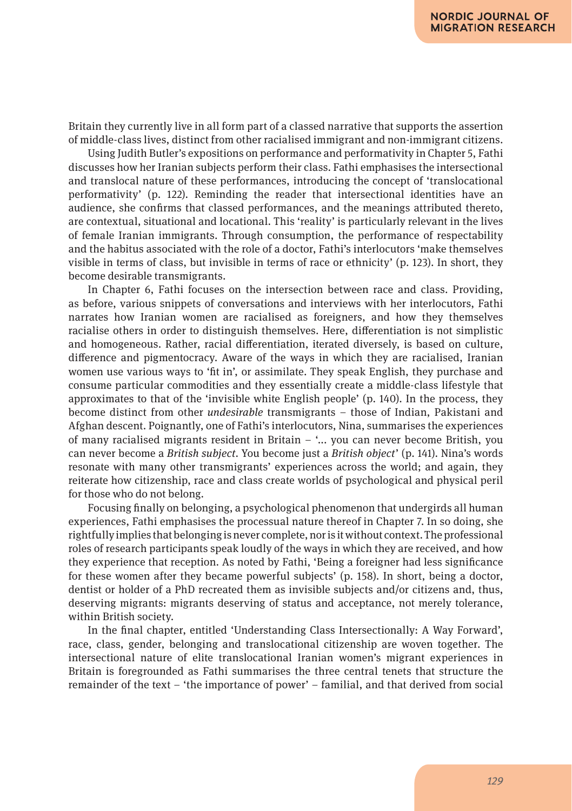Britain they currently live in all form part of a classed narrative that supports the assertion of middle-class lives, distinct from other racialised immigrant and non-immigrant citizens.

Using Judith Butler's expositions on performance and performativity in Chapter 5, Fathi discusses how her Iranian subjects perform their class. Fathi emphasises the intersectional and translocal nature of these performances, introducing the concept of 'translocational performativity' (p. 122). Reminding the reader that intersectional identities have an audience, she confirms that classed performances, and the meanings attributed thereto, are contextual, situational and locational. This 'reality' is particularly relevant in the lives of female Iranian immigrants. Through consumption, the performance of respectability and the habitus associated with the role of a doctor, Fathi's interlocutors 'make themselves visible in terms of class, but invisible in terms of race or ethnicity' (p. 123). In short, they become desirable transmigrants.

In Chapter 6, Fathi focuses on the intersection between race and class. Providing, as before, various snippets of conversations and interviews with her interlocutors, Fathi narrates how Iranian women are racialised as foreigners, and how they themselves racialise others in order to distinguish themselves. Here, differentiation is not simplistic and homogeneous. Rather, racial differentiation, iterated diversely, is based on culture, difference and pigmentocracy. Aware of the ways in which they are racialised, Iranian women use various ways to 'fit in', or assimilate. They speak English, they purchase and consume particular commodities and they essentially create a middle-class lifestyle that approximates to that of the 'invisible white English people' (p. 140). In the process, they become distinct from other *undesirable* transmigrants – those of Indian, Pakistani and Afghan descent. Poignantly, one of Fathi's interlocutors, Nina, summarises the experiences of many racialised migrants resident in Britain – '... you can never become British, you can never become a *British subject*. You become just a *British object*' (p. 141). Nina's words resonate with many other transmigrants' experiences across the world; and again, they reiterate how citizenship, race and class create worlds of psychological and physical peril for those who do not belong.

Focusing finally on belonging, a psychological phenomenon that undergirds all human experiences, Fathi emphasises the processual nature thereof in Chapter 7. In so doing, she rightfully implies that belonging is never complete, nor is it without context. The professional roles of research participants speak loudly of the ways in which they are received, and how they experience that reception. As noted by Fathi, 'Being a foreigner had less significance for these women after they became powerful subjects' (p. 158). In short, being a doctor, dentist or holder of a PhD recreated them as invisible subjects and/or citizens and, thus, deserving migrants: migrants deserving of status and acceptance, not merely tolerance, within British society.

In the final chapter, entitled 'Understanding Class Intersectionally: A Way Forward', race, class, gender, belonging and translocational citizenship are woven together. The intersectional nature of elite translocational Iranian women's migrant experiences in Britain is foregrounded as Fathi summarises the three central tenets that structure the remainder of the text – 'the importance of power' – familial, and that derived from social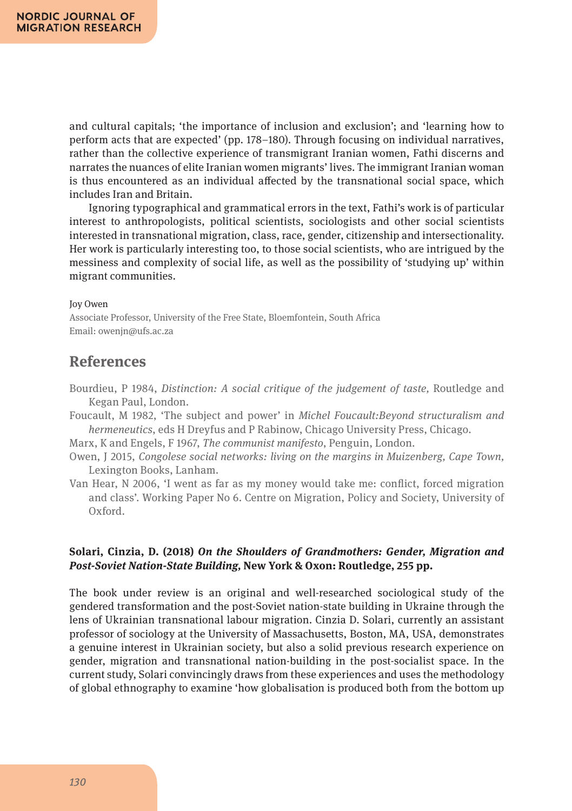and cultural capitals; 'the importance of inclusion and exclusion'; and 'learning how to perform acts that are expected' (pp. 178–180). Through focusing on individual narratives, rather than the collective experience of transmigrant Iranian women, Fathi discerns and narrates the nuances of elite Iranian women migrants' lives. The immigrant Iranian woman is thus encountered as an individual affected by the transnational social space, which includes Iran and Britain.

Ignoring typographical and grammatical errors in the text, Fathi's work is of particular interest to anthropologists, political scientists, sociologists and other social scientists interested in transnational migration, class, race, gender, citizenship and intersectionality. Her work is particularly interesting too, to those social scientists, who are intrigued by the messiness and complexity of social life, as well as the possibility of 'studying up' within migrant communities.

#### Joy Owen

Associate Professor, University of the Free State, Bloemfontein, South Africa Email: owenjn@ufs.ac.za

# **References**

- Bourdieu, P 1984, *Distinction: A social critique of the judgement of taste,* Routledge and Kegan Paul, London.
- Foucault, M 1982, 'The subject and power' in *Michel Foucault:Beyond structuralism and hermeneutics*, eds H Dreyfus and P Rabinow, Chicago University Press, Chicago.
- Marx, K and Engels, F 1967, *The communist manifesto*, Penguin, London.
- Owen, J 2015, *Congolese social networks: living on the margins in Muizenberg, Cape Town,* Lexington Books, Lanham.
- Van Hear, N 2006, 'I went as far as my money would take me: conflict, forced migration and class'. Working Paper No 6. Centre on Migration, Policy and Society, University of Oxford.

## **Solari, Cinzia, D. (2018)** *On the Shoulders of Grandmothers: Gender, Migration and Post-Soviet Nation-State Building,* **New York & Oxon: Routledge, 255 pp.**

The book under review is an original and well-researched sociological study of the gendered transformation and the post-Soviet nation-state building in Ukraine through the lens of Ukrainian transnational labour migration. Cinzia D. Solari, currently an assistant professor of sociology at the University of Massachusetts, Boston, MA, USA, demonstrates a genuine interest in Ukrainian society, but also a solid previous research experience on gender, migration and transnational nation-building in the post-socialist space. In the current study, Solari convincingly draws from these experiences and uses the methodology of global ethnography to examine 'how globalisation is produced both from the bottom up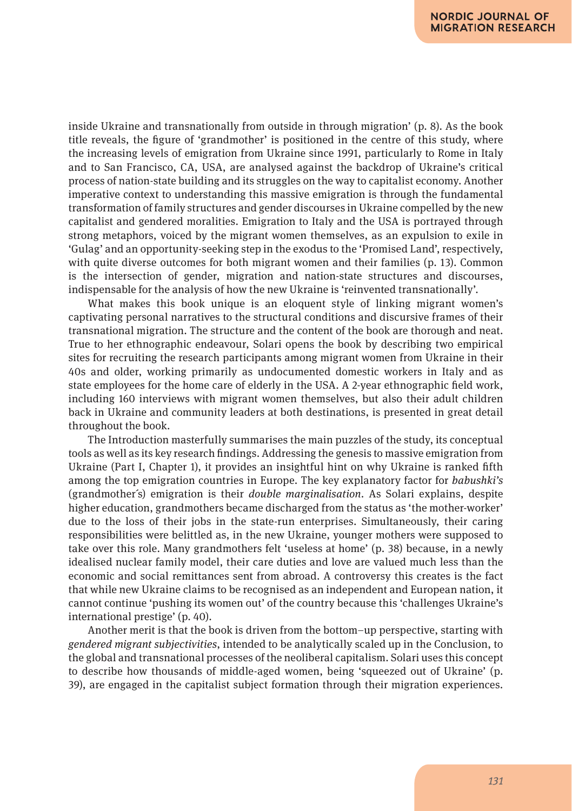inside Ukraine and transnationally from outside in through migration' (p. 8). As the book title reveals, the figure of 'grandmother' is positioned in the centre of this study, where the increasing levels of emigration from Ukraine since 1991, particularly to Rome in Italy and to San Francisco, CA, USA, are analysed against the backdrop of Ukraine's critical process of nation-state building and its struggles on the way to capitalist economy. Another imperative context to understanding this massive emigration is through the fundamental transformation of family structures and gender discourses in Ukraine compelled by the new capitalist and gendered moralities. Emigration to Italy and the USA is portrayed through strong metaphors, voiced by the migrant women themselves, as an expulsion to exile in 'Gulag' and an opportunity-seeking step in the exodus to the 'Promised Land', respectively, with quite diverse outcomes for both migrant women and their families (p. 13). Common is the intersection of gender, migration and nation-state structures and discourses, indispensable for the analysis of how the new Ukraine is 'reinvented transnationally'.

What makes this book unique is an eloquent style of linking migrant women's captivating personal narratives to the structural conditions and discursive frames of their transnational migration. The structure and the content of the book are thorough and neat. True to her ethnographic endeavour, Solari opens the book by describing two empirical sites for recruiting the research participants among migrant women from Ukraine in their 40s and older, working primarily as undocumented domestic workers in Italy and as state employees for the home care of elderly in the USA. A 2-year ethnographic field work, including 160 interviews with migrant women themselves, but also their adult children back in Ukraine and community leaders at both destinations, is presented in great detail throughout the book.

The Introduction masterfully summarises the main puzzles of the study, its conceptual tools as well as its key research findings. Addressing the genesis to massive emigration from Ukraine (Part I, Chapter 1), it provides an insightful hint on why Ukraine is ranked fifth among the top emigration countries in Europe. The key explanatory factor for *babushki's* (grandmother´s) emigration is their *double marginalisation*. As Solari explains, despite higher education, grandmothers became discharged from the status as 'the mother-worker' due to the loss of their jobs in the state-run enterprises. Simultaneously, their caring responsibilities were belittled as, in the new Ukraine, younger mothers were supposed to take over this role. Many grandmothers felt 'useless at home' (p. 38) because, in a newly idealised nuclear family model, their care duties and love are valued much less than the economic and social remittances sent from abroad. A controversy this creates is the fact that while new Ukraine claims to be recognised as an independent and European nation, it cannot continue 'pushing its women out' of the country because this 'challenges Ukraine's international prestige' (p. 40).

Another merit is that the book is driven from the bottom–up perspective, starting with *gendered migrant subjectivities*, intended to be analytically scaled up in the Conclusion, to the global and transnational processes of the neoliberal capitalism. Solari uses this concept to describe how thousands of middle-aged women, being 'squeezed out of Ukraine' (p. 39), are engaged in the capitalist subject formation through their migration experiences.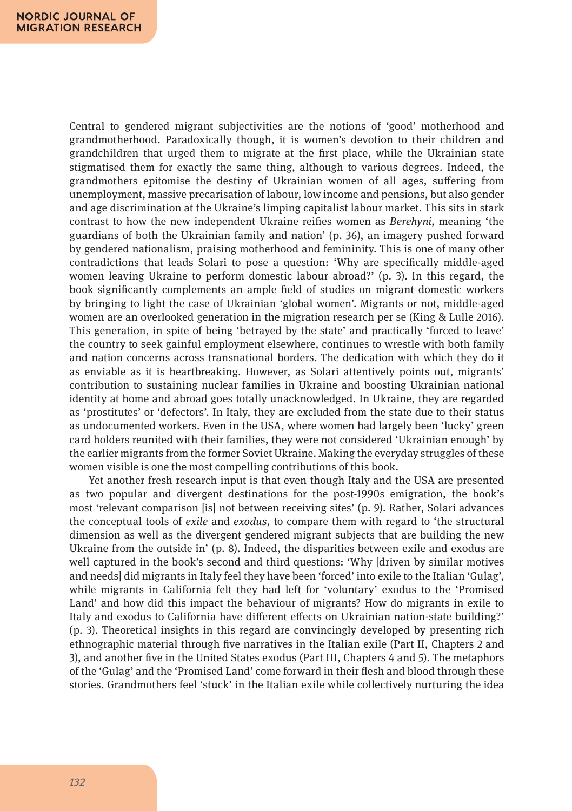Central to gendered migrant subjectivities are the notions of 'good' motherhood and grandmotherhood. Paradoxically though, it is women's devotion to their children and grandchildren that urged them to migrate at the first place, while the Ukrainian state stigmatised them for exactly the same thing, although to various degrees. Indeed, the grandmothers epitomise the destiny of Ukrainian women of all ages, suffering from unemployment, massive precarisation of labour, low income and pensions, but also gender and age discrimination at the Ukraine's limping capitalist labour market. This sits in stark contrast to how the new independent Ukraine reifies women as *Berehyni*, meaning 'the guardians of both the Ukrainian family and nation' (p. 36), an imagery pushed forward by gendered nationalism, praising motherhood and femininity. This is one of many other contradictions that leads Solari to pose a question: 'Why are specifically middle-aged women leaving Ukraine to perform domestic labour abroad?' (p. 3). In this regard, the book significantly complements an ample field of studies on migrant domestic workers by bringing to light the case of Ukrainian 'global women'. Migrants or not, middle-aged women are an overlooked generation in the migration research per se (King & Lulle 2016). This generation, in spite of being 'betrayed by the state' and practically 'forced to leave' the country to seek gainful employment elsewhere, continues to wrestle with both family and nation concerns across transnational borders. The dedication with which they do it as enviable as it is heartbreaking. However, as Solari attentively points out, migrants' contribution to sustaining nuclear families in Ukraine and boosting Ukrainian national identity at home and abroad goes totally unacknowledged. In Ukraine, they are regarded as 'prostitutes' or 'defectors'. In Italy, they are excluded from the state due to their status as undocumented workers. Even in the USA, where women had largely been 'lucky' green card holders reunited with their families, they were not considered 'Ukrainian enough' by the earlier migrants from the former Soviet Ukraine. Making the everyday struggles of these women visible is one the most compelling contributions of this book.

Yet another fresh research input is that even though Italy and the USA are presented as two popular and divergent destinations for the post-1990s emigration, the book's most 'relevant comparison [is] not between receiving sites' (p. 9). Rather, Solari advances the conceptual tools of *exile* and *exodus*, to compare them with regard to 'the structural dimension as well as the divergent gendered migrant subjects that are building the new Ukraine from the outside in' (p. 8). Indeed, the disparities between exile and exodus are well captured in the book's second and third questions: 'Why [driven by similar motives and needs] did migrants in Italy feel they have been 'forced' into exile to the Italian 'Gulag', while migrants in California felt they had left for 'voluntary' exodus to the 'Promised Land' and how did this impact the behaviour of migrants? How do migrants in exile to Italy and exodus to California have different effects on Ukrainian nation-state building?' (p. 3). Theoretical insights in this regard are convincingly developed by presenting rich ethnographic material through five narratives in the Italian exile (Part II, Chapters 2 and 3), and another five in the United States exodus (Part III, Chapters 4 and 5). The metaphors of the 'Gulag' and the 'Promised Land' come forward in their flesh and blood through these stories. Grandmothers feel 'stuck' in the Italian exile while collectively nurturing the idea